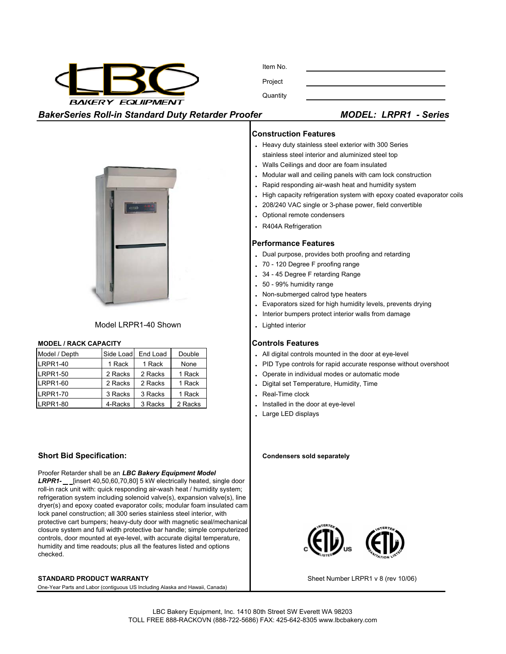

Project **Quantity** 

**BakerSeries Roll-in Standard Duty Retarder Proofer** 

|  | <b>MODEL: LRPR1 - Series</b> |  |  |
|--|------------------------------|--|--|
|--|------------------------------|--|--|

## **Construction Features**

Item No.

- **.** Heavy duty stainless steel exterior with 300 Series stainless steel interior and aluminized steel top
- **.** Walls Ceilings and door are foam insulated
- **.** Modular wall and ceiling panels with cam lock construction
- **.** Rapid responding air-wash heat and humidity system
- **.** High capacity refrigeration system with epoxy coated evaporator coils
- **.** 208/240 VAC single or 3-phase power, field convertible
- **.** Optional remote condensers
- **.** R404A Refrigeration

### **Performance Features**

- **.** Dual purpose, provides both proofing and retarding
- **.** 70 120 Degree F proofing range
- **.** 34 45 Degree F retarding Range
- **.** 50 99% humidity range
- **.** Non-submerged calrod type heaters
- **.** Evaporators sized for high humidity levels, prevents drying
- **.** Interior bumpers protect interior walls from damage
- **.** Lighted interior

- . All digital controls mounted in the door at eye-level
- . PID Type controls for rapid accurate response without overshoot
- . Operate in individual modes or automatic mode
- . Digital set Temperature, Humidity, Time
- . Real-Time clock
- . Installed in the door at eye-level
- **.** Large LED displays

#### **Condensers sold separately**



Sheet Number LRPR1 v 8 (rev 10/06)



Model LRPR1-40 Shown

### **MODEL / RACK CAPACITY Controls Features**

| Model / Depth   | Side Load | End Load | Double  |
|-----------------|-----------|----------|---------|
| LRPR1-40        | 1 Rack    | 1 Rack   | None    |
| <b>LRPR1-50</b> | 2 Racks   | 2 Racks  | 1 Rack  |
| LRPR1-60        | 2 Racks   | 2 Racks  | 1 Rack  |
| <b>LRPR1-70</b> | 3 Racks   | 3 Racks  | 1 Rack  |
| LRPR1-80        | 4-Racks   | 3 Racks  | 2 Racks |

# **Short Bid Specification:**

Proofer Retarder shall be an *LBC Bakery Equipment Model*  LRPR1- \_\_ [insert 40,50,60,70,80] 5 kW electrically heated, single door roll-in rack unit with: quick responding air-wash heat / humidity system; refrigeration system including solenoid valve(s), expansion valve(s), line dryer(s) and epoxy coated evaporator coils; modular foam insulated cam lock panel construction; all 300 series stainless steel interior, with protective cart bumpers; heavy-duty door with magnetic seal/mechanical closure system and full width protective bar handle; simple computerized controls, door mounted at eye-level, with accurate digital temperature, humidity and time readouts; plus all the features listed and options checked.

#### **STANDARD PRODUCT WARRANTY**

One-Year Parts and Labor (contiguous US Including Alaska and Hawaii, Canada)